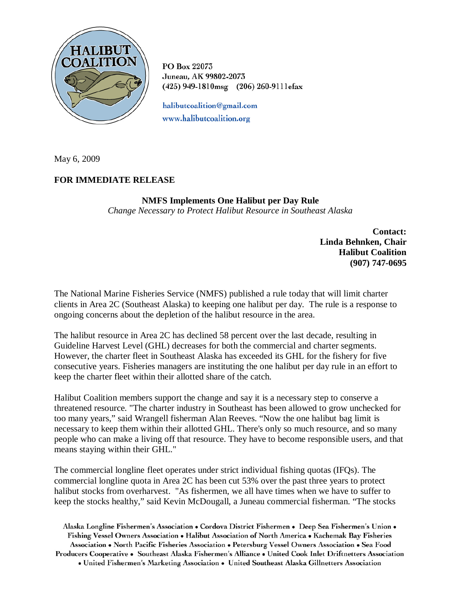

PO Box 22073 Juneau, AK 99802-2073 (425) 949-1810msg (206) 260-9111efax

halibutcoalition@gmail.com www.halibutcoalition.org

May 6, 2009

## **FOR IMMEDIATE RELEASE**

## **NMFS Implements One Halibut per Day Rule**  *Change Necessary to Protect Halibut Resource in Southeast Alaska*

**Contact: Linda Behnken, Chair Halibut Coalition (907) 747-0695**

The National Marine Fisheries Service (NMFS) published a rule today that will limit charter clients in Area 2C (Southeast Alaska) to keeping one halibut per day. The rule is a response to ongoing concerns about the depletion of the halibut resource in the area.

The halibut resource in Area 2C has declined 58 percent over the last decade, resulting in Guideline Harvest Level (GHL) decreases for both the commercial and charter segments. However, the charter fleet in Southeast Alaska has exceeded its GHL for the fishery for five consecutive years. Fisheries managers are instituting the one halibut per day rule in an effort to keep the charter fleet within their allotted share of the catch.

Halibut Coalition members support the change and say it is a necessary step to conserve a threatened resource. "The charter industry in Southeast has been allowed to grow unchecked for too many years," said Wrangell fisherman Alan Reeves. "Now the one halibut bag limit is necessary to keep them within their allotted GHL. There's only so much resource, and so many people who can make a living off that resource. They have to become responsible users, and that means staying within their GHL."

The commercial longline fleet operates under strict individual fishing quotas (IFQs). The commercial longline quota in Area 2C has been cut 53% over the past three years to protect halibut stocks from overharvest. "As fishermen, we all have times when we have to suffer to keep the stocks healthy," said Kevin McDougall, a Juneau commercial fisherman. "The stocks

Alaska Longline Fishermen's Association • Cordova District Fishermen • Deep Sea Fishermen's Union • Fishing Vessel Owners Association . Halibut Association of North America . Kachemak Bay Fisheries Association • North Pacific Fisheries Association • Petersburg Vessel Owners Association • Sea Food Producers Cooperative • Southeast Alaska Fishermen's Alliance • United Cook Inlet Driftnetters Association • United Fishermen's Marketing Association • United Southeast Alaska Gillnetters Association